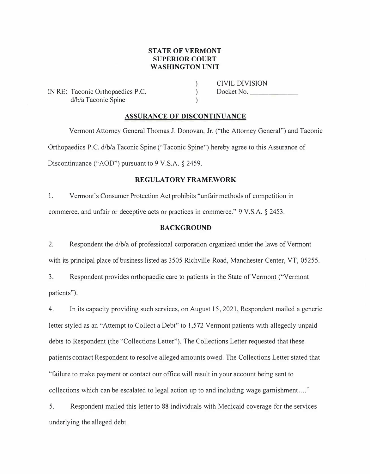## **STATE OF VERMONT SUPERIOR COURT WASHINGTON UNIT**

) )  $\lambda$ 

IN RE: Taconic Orthopaedics P.C. d/b/a Taconic Spine

CIVIL DIVISION Docket No.

### **ASSURANCE OF DISCONTINUANCE**

Vermont Attorney General Thomas J. Donovan, Jr. ("the Attorney General") and Taconic Orthopaedics P.C. d/b/a Taconic Spine ("Taconic Spine'') hereby agree to this Assurance of Discontinuance ("AOD") pursuant to 9 V.S.A. § 2459.

## **REGULATORY FRAMEWORK**

1. Vermont's Consumer Protection Act prohibits "unfair methods of competition in commerce, and unfair or deceptive acts or practices in commerce." 9 V.S.A. § 2453.

## **BACKGROUND**

2. Respondent the d/b/a of professional corporation organized under the laws of Vermont with its principal place of business listed as 3505 Richville Road, Manchester Center, VT, 05255.

3. Respondent provides orthopaedic care to patients in the State of Vermont ("Vermont patients").

4. In its capacity providing such services, on August 15, 2021, Respondent mailed a generic letter styled as an "Attempt to Collect a Debt" to 1,572 Vermont patients with allegedly unpaid debts to Respondent (the "Collections Letter"). The Collections Letter requested that these patients contact Respondent to resolve alleged amounts owed. The Collections Letter stated that "failure to make payment or contact our office will result in your account being sent to collections which can be escalated to legal action up to and including wage garnishment. ... "

5. Respondent mailed this letter to 88 individuals with Medicaid coverage for the services underlying the alleged debt.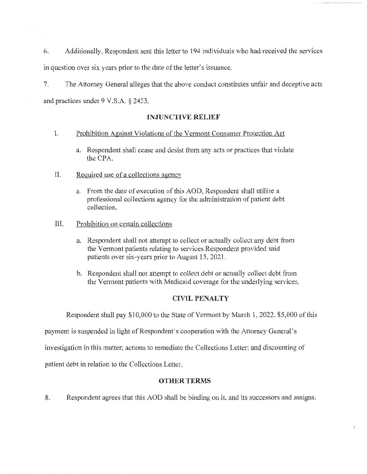Additionally, Respondent sent this letter to 194 individuals who had received the services 6. in question over six years prior to the date of the letter's issuance.

The Attorney General alleges that the above conduct constitutes unfair and deceptive acts 7. and practices under  $9 \text{ V.S.A. }$ § 2453.

# **INJUNCTIVE RELIEF**

#### Ι. Prohibition Against Violations of the Vermont Consumer Protection Act

- a. Respondent shall cease and desist from any acts or practices that violate the CPA.
- П. Required use of a collections agency
	- a. From the date of execution of this AOD, Respondent shall utilize a professional collections agency for the administration of patient debt collection.
- III. Prohibition on certain collections
	- a. Respondent shall not attempt to collect or actually collect any debt from the Vermont patients relating to services Respondent provided said patients over six-years prior to August 15, 2021.
	- b. Respondent shall not attempt to collect debt or actually collect debt from the Vermont patients with Medicaid coverage for the underlying services.

## **CIVIL PENALTY**

Respondent shall pay \$10,000 to the State of Vermont by March 1, 2022. \$5,000 of this

payment is suspended in light of Respondent's cooperation with the Attorney General's

investigation in this matter; actions to remediate the Collections Letter; and discounting of

patient debt in relation to the Collections Letter.

# **OTHER TERMS**

Respondent agrees that this AOD shall be binding on it, and its successors and assigns. 8.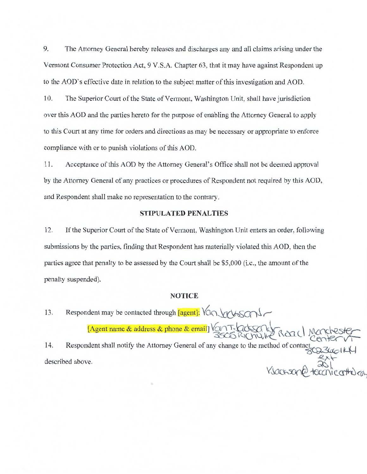9. The Attorney General hereby releases and discharges any and all claims arising under the Vermont Consumer Protection Act, 9 V.S.A. Chapter 63, that it may have against Respondent up to the AOD's effective date in relation to the subject matter of this investigation and AOD.

10. The Superior Court of the State of Vermont, Washington Unit, shall have jurisdiction over this AOD and the parties hereto for the purpose of enabling the Attorney General to apply to this Court at any time for orders and directions as may be necessary or appropriate to enforce compliance with or to punish violations of this AOD.

Acceptance of this AOD by the Attorney General's Office shall not be deemed approval 11. by the Attorney General of any practices or procedures of Respondent not required by this AOD, and Respondent shall make no representation to the contrary.

#### **STIPULATED PENALTIES**

12. If the Superior Court of the State of Vermont, Washington Unit enters an order, following submissions by the parties, finding that Respondent has materially violated this AOD, then the parties agree that penalty to be assessed by the Court shall be \$5,000 (i.e., the amount of the penalty suspended).

#### **NOTICE**

Respondent may be contacted through [agent]: Van Veryson -13. [Agent name & address & phone & email] VONT-LOCKER LATION Respondent shall notify the Attorney General of any change to the method of contact 14.

described above.